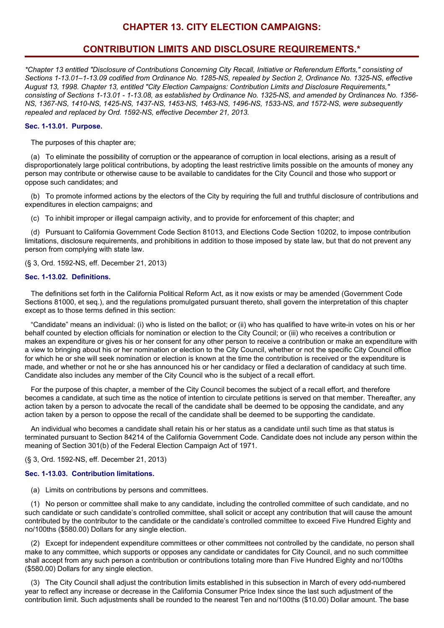# **CHAPTER 13. CITY ELECTION CAMPAIGNS:**

# **CONTRIBUTION LIMITS AND DISCLOSURE REQUIREMENTS.\***

\*Chapter 13 entitled "Disclosure of Contributions Concerning City Recall, Initiative or Referendum Efforts," consisting of *Sections 1-13.01–1-13.09 codified from Ordinance No. 1285-NS, repealed by Section 2, Ordinance No. 1325-NS, effective August 13, 1998. Chapter 13, entitled "City Election Campaigns: Contribution Limits and Disclosure Requirements,"* consisting of Sections 1-13.01 - 1-13.08, as established by Ordinance No. 1325-NS, and amended by Ordinances No. 1356-*NS, 1367-NS, 1410-NS, 1425-NS, 1437-NS, 1453-NS, 1463-NS, 1496-NS, 1533-NS, and 1572-NS, were subsequently repealed and replaced by Ord. 1592-NS, effective December 21, 2013.*

## **Sec. 1-13.01. Purpose.**

The purposes of this chapter are;

(a) To eliminate the possibility of corruption or the appearance of corruption in local elections, arising as a result of disproportionately large political contributions, by adopting the least restrictive limits possible on the amounts of money any person may contribute or otherwise cause to be available to candidates for the City Council and those who support or oppose such candidates; and

(b) To promote informed actions by the electors of the City by requiring the full and truthful disclosure of contributions and expenditures in election campaigns; and

(c) To inhibit improper or illegal campaign activity, and to provide for enforcement of this chapter; and

(d) Pursuant to California Government Code Section 81013, and Elections Code Section 10202, to impose contribution limitations, disclosure requirements, and prohibitions in addition to those imposed by state law, but that do not prevent any person from complying with state law.

(§ 3, Ord. 1592-NS, eff. December 21, 2013)

## **Sec. 1-13.02. Definitions.**

The definitions set forth in the California Political Reform Act, as it now exists or may be amended (Government Code Sections 81000, et seq.), and the regulations promulgated pursuant thereto, shall govern the interpretation of this chapter except as to those terms defined in this section:

"Candidate" means an individual: (i) who is listed on the ballot; or (ii) who has qualified to have write-in votes on his or her behalf counted by election officials for nomination or election to the City Council; or (iii) who receives a contribution or makes an expenditure or gives his or her consent for any other person to receive a contribution or make an expenditure with a view to bringing about his or her nomination or election to the City Council, whether or not the specific City Council office for which he or she will seek nomination or election is known at the time the contribution is received or the expenditure is made, and whether or not he or she has announced his or her candidacy or filed a declaration of candidacy at such time. Candidate also includes any member of the City Council who is the subject of a recall effort.

For the purpose of this chapter, a member of the City Council becomes the subject of a recall effort, and therefore becomes a candidate, at such time as the notice of intention to circulate petitions is served on that member. Thereafter, any action taken by a person to advocate the recall of the candidate shall be deemed to be opposing the candidate, and any action taken by a person to oppose the recall of the candidate shall be deemed to be supporting the candidate.

An individual who becomes a candidate shall retain his or her status as a candidate until such time as that status is terminated pursuant to Section 84214 of the California Government Code. Candidate does not include any person within the meaning of Section 301(b) of the Federal Election Campaign Act of 1971.

# (§ 3, Ord. 1592-NS, eff. December 21, 2013)

# **Sec. 1-13.03. Contribution limitations.**

(a) Limits on contributions by persons and committees.

(1) No person or committee shall make to any candidate, including the controlled committee of such candidate, and no such candidate or such candidate's controlled committee, shall solicit or accept any contribution that will cause the amount contributed by the contributor to the candidate or the candidate's controlled committee to exceed Five Hundred Eighty and no/100ths (\$580.00) Dollars for any single election.

(2) Except for independent expenditure committees or other committees not controlled by the candidate, no person shall make to any committee, which supports or opposes any candidate or candidates for City Council, and no such committee shall accept from any such person a contribution or contributions totaling more than Five Hundred Eighty and no/100ths (\$580.00) Dollars for any single election.

(3) The City Council shall adjust the contribution limits established in this subsection in March of every odd-numbered year to reflect any increase or decrease in the California Consumer Price Index since the last such adjustment of the contribution limit. Such adjustments shall be rounded to the nearest Ten and no/100ths (\$10.00) Dollar amount. The base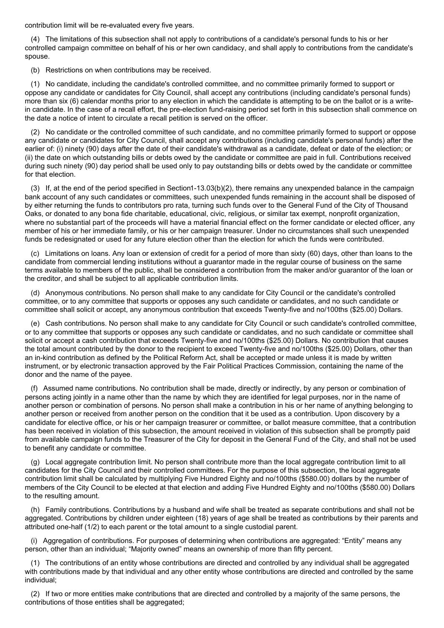contribution limit will be re-evaluated every five years.

(4) The limitations of this subsection shall not apply to contributions of a candidate's personal funds to his or her controlled campaign committee on behalf of his or her own candidacy, and shall apply to contributions from the candidate's spouse.

(b) Restrictions on when contributions may be received.

(1) No candidate, including the candidate's controlled committee, and no committee primarily formed to support or oppose any candidate or candidates for City Council, shall accept any contributions (including candidate's personal funds) more than six (6) calendar months prior to any election in which the candidate is attempting to be on the ballot or is a writein candidate. In the case of a recall effort, the pre-election fund-raising period set forth in this subsection shall commence on the date a notice of intent to circulate a recall petition is served on the officer.

(2) No candidate or the controlled committee of such candidate, and no committee primarily formed to support or oppose any candidate or candidates for City Council, shall accept any contributions (including candidate's personal funds) after the earlier of: (i) ninety (90) days after the date of their candidate's withdrawal as a candidate, defeat or date of the election; or (ii) the date on which outstanding bills or debts owed by the candidate or committee are paid in full. Contributions received during such ninety (90) day period shall be used only to pay outstanding bills or debts owed by the candidate or committee for that election.

(3) If, at the end of the period specified in Section1-13.03(b)(2), there remains any unexpended balance in the campaign bank account of any such candidates or committees, such unexpended funds remaining in the account shall be disposed of by either returning the funds to contributors pro rata, turning such funds over to the General Fund of the City of Thousand Oaks, or donated to any bona fide charitable, educational, civic, religious, or similar tax exempt, nonprofit organization, where no substantial part of the proceeds will have a material financial effect on the former candidate or elected officer, any member of his or her immediate family, or his or her campaign treasurer. Under no circumstances shall such unexpended funds be redesignated or used for any future election other than the election for which the funds were contributed.

(c) Limitations on loans. Any loan or extension of credit for a period of more than sixty (60) days, other than loans to the candidate from commercial lending institutions without a guarantor made in the regular course of business on the same terms available to members of the public, shall be considered a contribution from the maker and/or guarantor of the loan or the creditor, and shall be subject to all applicable contribution limits.

(d) Anonymous contributions. No person shall make to any candidate for City Council or the candidate's controlled committee, or to any committee that supports or opposes any such candidate or candidates, and no such candidate or committee shall solicit or accept, any anonymous contribution that exceeds Twenty-five and no/100ths (\$25.00) Dollars.

(e) Cash contributions. No person shall make to any candidate for City Council or such candidate's controlled committee, or to any committee that supports or opposes any such candidate or candidates, and no such candidate or committee shall solicit or accept a cash contribution that exceeds Twenty-five and no/100ths (\$25.00) Dollars. No contribution that causes the total amount contributed by the donor to the recipient to exceed Twenty-five and no/100ths (\$25.00) Dollars, other than an in-kind contribution as defined by the Political Reform Act, shall be accepted or made unless it is made by written instrument, or by electronic transaction approved by the Fair Political Practices Commission, containing the name of the donor and the name of the payee.

(f) Assumed name contributions. No contribution shall be made, directly or indirectly, by any person or combination of persons acting jointly in a name other than the name by which they are identified for legal purposes, nor in the name of another person or combination of persons. No person shall make a contribution in his or her name of anything belonging to another person or received from another person on the condition that it be used as a contribution. Upon discovery by a candidate for elective office, or his or her campaign treasurer or committee, or ballot measure committee, that a contribution has been received in violation of this subsection, the amount received in violation of this subsection shall be promptly paid from available campaign funds to the Treasurer of the City for deposit in the General Fund of the City, and shall not be used to benefit any candidate or committee.

(g) Local aggregate contribution limit. No person shall contribute more than the local aggregate contribution limit to all candidates for the City Council and their controlled committees. For the purpose of this subsection, the local aggregate contribution limit shall be calculated by multiplying Five Hundred Eighty and no/100ths (\$580.00) dollars by the number of members of the City Council to be elected at that election and adding Five Hundred Eighty and no/100ths (\$580.00) Dollars to the resulting amount.

(h) Family contributions. Contributions by a husband and wife shall be treated as separate contributions and shall not be aggregated. Contributions by children under eighteen (18) years of age shall be treated as contributions by their parents and attributed one-half (1/2) to each parent or the total amount to a single custodial parent.

(i) Aggregation of contributions. For purposes of determining when contributions are aggregated: "Entity" means any person, other than an individual; "Majority owned" means an ownership of more than fifty percent.

(1) The contributions of an entity whose contributions are directed and controlled by any individual shall be aggregated with contributions made by that individual and any other entity whose contributions are directed and controlled by the same individual;

(2) If two or more entities make contributions that are directed and controlled by a majority of the same persons, the contributions of those entities shall be aggregated;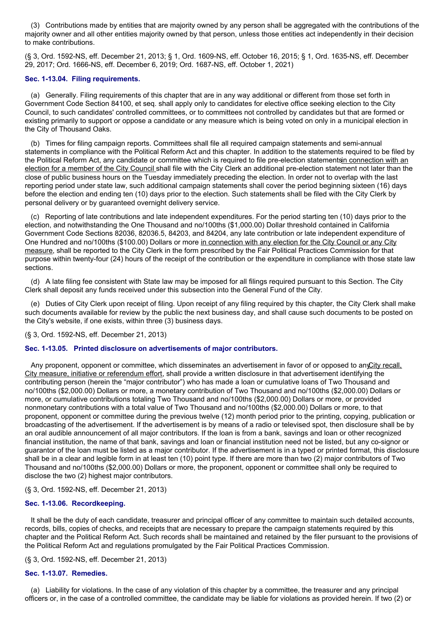(3) Contributions made by entities that are majority owned by any person shall be aggregated with the contributions of the majority owner and all other entities majority owned by that person, unless those entities act independently in their decision to make contributions.

(§ 3, Ord. 1592-NS, eff. December 21, 2013; § 1, Ord. 1609-NS, eff. October 16, 2015; § 1, Ord. 1635-NS, eff. December 29, 2017; Ord. 1666-NS, eff. December 6, 2019; Ord. 1687-NS, eff. October 1, 2021)

## **Sec. 1-13.04. Filing requirements.**

(a) Generally. Filing requirements of this chapter that are in any way additional or different from those set forth in Government Code Section 84100, et seq. shall apply only to candidates for elective office seeking election to the City Council, to such candidates' controlled committees, or to committees not controlled by candidates but that are formed or existing primarily to support or oppose a candidate or any measure which is being voted on only in a municipal election in the City of Thousand Oaks.

(b) Times for filing campaign reports. Committees shall file all required campaign statements and semi-annual statements in compliance with the Political Reform Act and this chapter. In addition to the statements required to be filed by the Political Reform Act, any candidate or committee which is required to file pre-election statementsin connection with an election for a member of the City Council shall file with the City Clerk an additional pre-election statement not later than the close of public business hours on the Tuesday immediately preceding the election. In order not to overlap with the last reporting period under state law, such additional campaign statements shall cover the period beginning sixteen (16) days before the election and ending ten (10) days prior to the election. Such statements shall be filed with the City Clerk by personal delivery or by guaranteed overnight delivery service.

(c) Reporting of late contributions and late independent expenditures. For the period starting ten (10) days prior to the election, and notwithstanding the One Thousand and no/100ths (\$1,000.00) Dollar threshold contained in California Government Code Sections 82036, 82036.5, 84203, and 84204, any late contribution or late independent expenditure of One Hundred and no/100ths (\$100.00) Dollars or more in connection with any election for the City Council or any City measure, shall be reported to the City Clerk in the form prescribed by the Fair Political Practices Commission for that purpose within twenty-four (24) hours of the receipt of the contribution or the expenditure in compliance with those state law sections.

(d) A late filing fee consistent with State law may be imposed for all filings required pursuant to this Section. The City Clerk shall deposit any funds received under this subsection into the General Fund of the City.

(e) Duties of City Clerk upon receipt of filing. Upon receipt of any filing required by this chapter, the City Clerk shall make such documents available for review by the public the next business day, and shall cause such documents to be posted on the City's website, if one exists, within three (3) business days.

(§ 3, Ord. 1592-NS, eff. December 21, 2013)

# **Sec. 1-13.05. Printed disclosure on advertisements of major contributors.**

Any proponent, opponent or committee, which disseminates an advertisement in favor of or opposed to any City recall, City measure, initiative or referendum effort, shall provide a written disclosure in that advertisement identifying the contributing person (herein the "major contributor") who has made a loan or cumulative loans of Two Thousand and no/100ths (\$2,000.00) Dollars or more, a monetary contribution of Two Thousand and no/100ths (\$2,000.00) Dollars or more, or cumulative contributions totaling Two Thousand and no/100ths (\$2,000.00) Dollars or more, or provided nonmonetary contributions with a total value of Two Thousand and no/100ths (\$2,000.00) Dollars or more, to that proponent, opponent or committee during the previous twelve (12) month period prior to the printing, copying, publication or broadcasting of the advertisement. If the advertisement is by means of a radio or televised spot, then disclosure shall be by an oral audible announcement of all major contributors. If the loan is from a bank, savings and loan or other recognized financial institution, the name of that bank, savings and loan or financial institution need not be listed, but any co-signor or guarantor of the loan must be listed as a major contributor. If the advertisement is in a typed or printed format, this disclosure shall be in a clear and legible form in at least ten (10) point type. If there are more than two (2) major contributors of Two Thousand and no/100ths (\$2,000.00) Dollars or more, the proponent, opponent or committee shall only be required to disclose the two (2) highest major contributors.

### (§ 3, Ord. 1592-NS, eff. December 21, 2013)

### **Sec. 1-13.06. Recordkeeping.**

It shall be the duty of each candidate, treasurer and principal officer of any committee to maintain such detailed accounts, records, bills, copies of checks, and receipts that are necessary to prepare the campaign statements required by this chapter and the Political Reform Act. Such records shall be maintained and retained by the filer pursuant to the provisions of the Political Reform Act and regulations promulgated by the Fair Political Practices Commission.

(§ 3, Ord. 1592-NS, eff. December 21, 2013)

### **Sec. 1-13.07. Remedies.**

(a) Liability for violations. In the case of any violation of this chapter by a committee, the treasurer and any principal officers or, in the case of a controlled committee, the candidate may be liable for violations as provided herein. If two (2) or